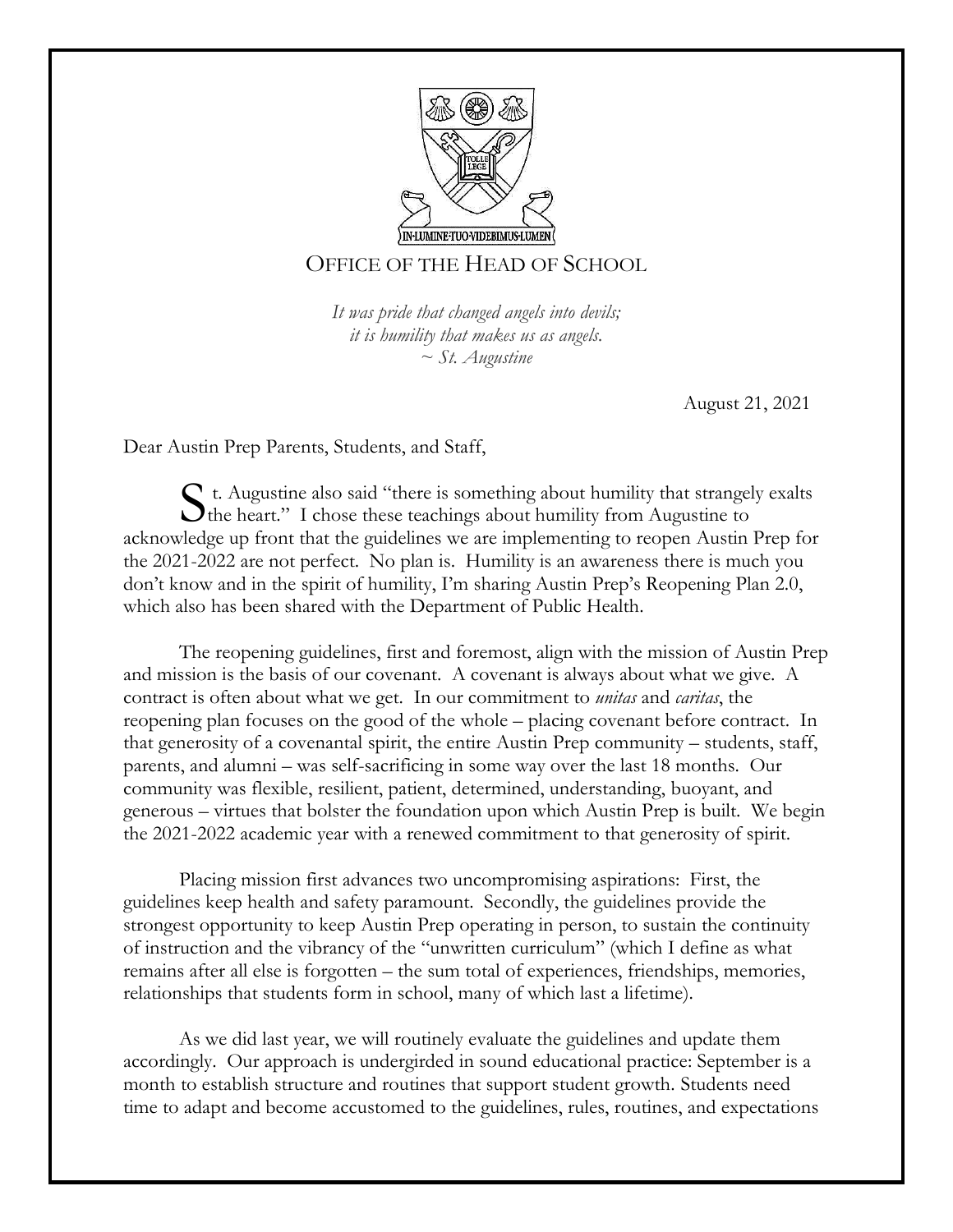

# OFFICE OF THE HEAD OF SCHOOL

*It was pride that changed angels into devils; it is humility that makes us as angels. ~ St. Augustine*

August 21, 2021

Dear Austin Prep Parents, Students, and Staff,

t. Augustine also said "there is something about humility that strangely exalts  $S$ <sup>t.</sup> Augustine also said "there is something about humility that strangel the heart." I chose these teachings about humility from Augustine to acknowledge up front that the guidelines we are implementing to reopen Austin Prep for the 2021-2022 are not perfect. No plan is. Humility is an awareness there is much you don't know and in the spirit of humility, I'm sharing Austin Prep's Reopening Plan 2.0, which also has been shared with the Department of Public Health.

The reopening guidelines, first and foremost, align with the mission of Austin Prep and mission is the basis of our covenant. A covenant is always about what we give. A contract is often about what we get. In our commitment to *unitas* and *caritas*, the reopening plan focuses on the good of the whole – placing covenant before contract. In that generosity of a covenantal spirit, the entire Austin Prep community – students, staff, parents, and alumni – was self-sacrificing in some way over the last 18 months. Our community was flexible, resilient, patient, determined, understanding, buoyant, and generous – virtues that bolster the foundation upon which Austin Prep is built. We begin the 2021-2022 academic year with a renewed commitment to that generosity of spirit.

Placing mission first advances two uncompromising aspirations: First, the guidelines keep health and safety paramount. Secondly, the guidelines provide the strongest opportunity to keep Austin Prep operating in person, to sustain the continuity of instruction and the vibrancy of the "unwritten curriculum" (which I define as what remains after all else is forgotten – the sum total of experiences, friendships, memories, relationships that students form in school, many of which last a lifetime).

As we did last year, we will routinely evaluate the guidelines and update them accordingly. Our approach is undergirded in sound educational practice: September is a month to establish structure and routines that support student growth. Students need time to adapt and become accustomed to the guidelines, rules, routines, and expectations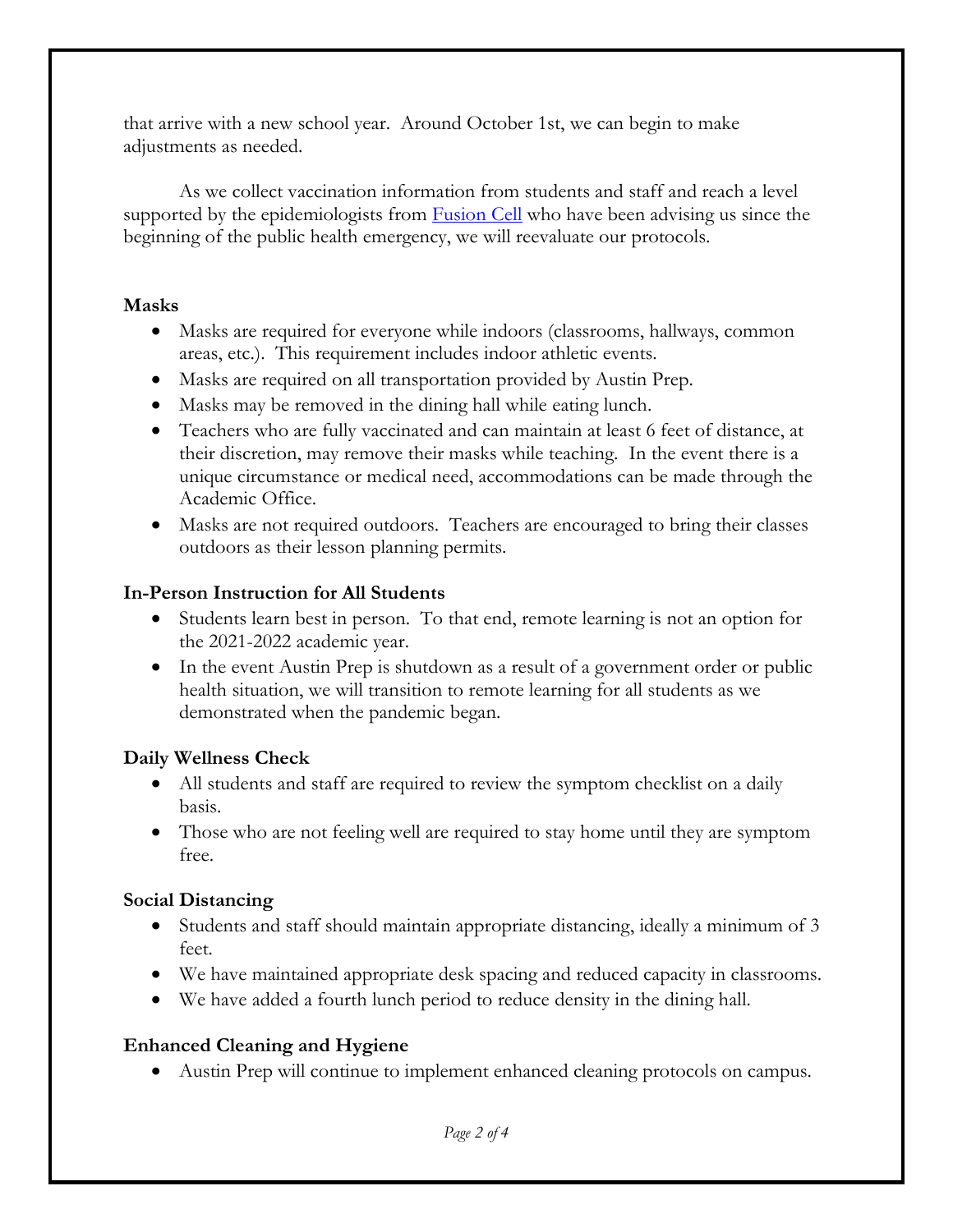that arrive with a new school year. Around October 1st, we can begin to make adjustments as needed.

As we collect vaccination information from students and staff and reach a level supported by the epidemiologists from [Fusion Cell](https://fusioncell.com/) who have been advising us since the beginning of the public health emergency, we will reevaluate our protocols.

#### **Masks**

- Masks are required for everyone while indoors (classrooms, hallways, common areas, etc.). This requirement includes indoor athletic events.
- Masks are required on all transportation provided by Austin Prep.
- Masks may be removed in the dining hall while eating lunch.
- Teachers who are fully vaccinated and can maintain at least 6 feet of distance, at their discretion, may remove their masks while teaching. In the event there is a unique circumstance or medical need, accommodations can be made through the Academic Office.
- Masks are not required outdoors. Teachers are encouraged to bring their classes outdoors as their lesson planning permits.

### **In-Person Instruction for All Students**

- Students learn best in person. To that end, remote learning is not an option for the 2021-2022 academic year.
- In the event Austin Prep is shutdown as a result of a government order or public health situation, we will transition to remote learning for all students as we demonstrated when the pandemic began.

### **Daily Wellness Check**

- All students and staff are required to review the symptom checklist on a daily basis.
- Those who are not feeling well are required to stay home until they are symptom free.

### **Social Distancing**

- Students and staff should maintain appropriate distancing, ideally a minimum of 3 feet.
- We have maintained appropriate desk spacing and reduced capacity in classrooms.
- We have added a fourth lunch period to reduce density in the dining hall.

### **Enhanced Cleaning and Hygiene**

Austin Prep will continue to implement enhanced cleaning protocols on campus.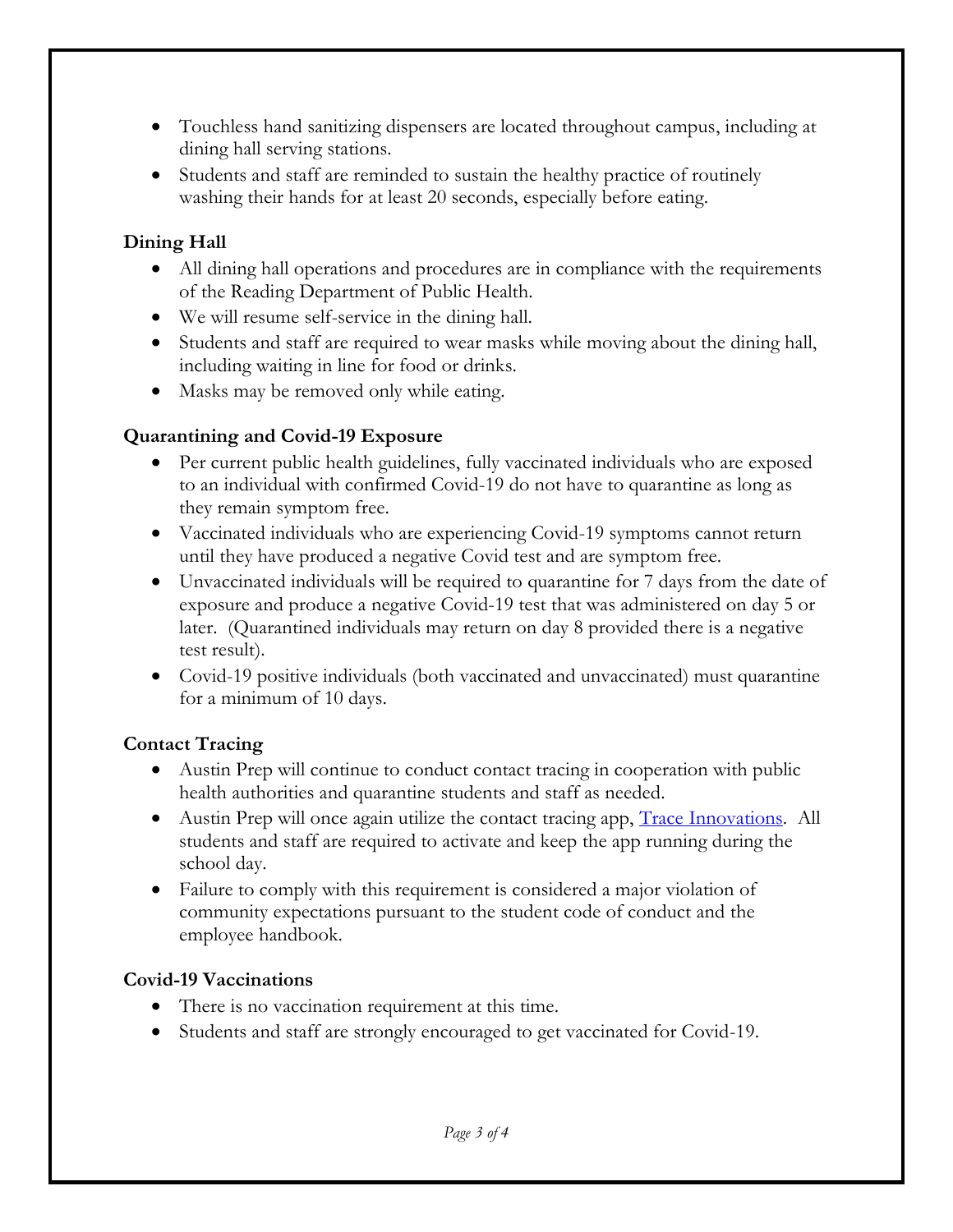- Touchless hand sanitizing dispensers are located throughout campus, including at dining hall serving stations.
- Students and staff are reminded to sustain the healthy practice of routinely washing their hands for at least 20 seconds, especially before eating.

## **Dining Hall**

- All dining hall operations and procedures are in compliance with the requirements of the Reading Department of Public Health.
- We will resume self-service in the dining hall.
- Students and staff are required to wear masks while moving about the dining hall, including waiting in line for food or drinks.
- Masks may be removed only while eating.

## **Quarantining and Covid-19 Exposure**

- Per current public health guidelines, fully vaccinated individuals who are exposed to an individual with confirmed Covid-19 do not have to quarantine as long as they remain symptom free.
- Vaccinated individuals who are experiencing Covid-19 symptoms cannot return until they have produced a negative Covid test and are symptom free.
- Unvaccinated individuals will be required to quarantine for 7 days from the date of exposure and produce a negative Covid-19 test that was administered on day 5 or later. (Quarantined individuals may return on day 8 provided there is a negative test result).
- Covid-19 positive individuals (both vaccinated and unvaccinated) must quarantine for a minimum of 10 days.

# **Contact Tracing**

- Austin Prep will continue to conduct contact tracing in cooperation with public health authorities and quarantine students and staff as needed.
- Austin Prep will once again utilize the contact tracing app, **Trace Innovations**. All students and staff are required to activate and keep the app running during the school day.
- Failure to comply with this requirement is considered a major violation of community expectations pursuant to the student code of conduct and the employee handbook.

# **Covid-19 Vaccinations**

- There is no vaccination requirement at this time.
- Students and staff are strongly encouraged to get vaccinated for Covid-19.